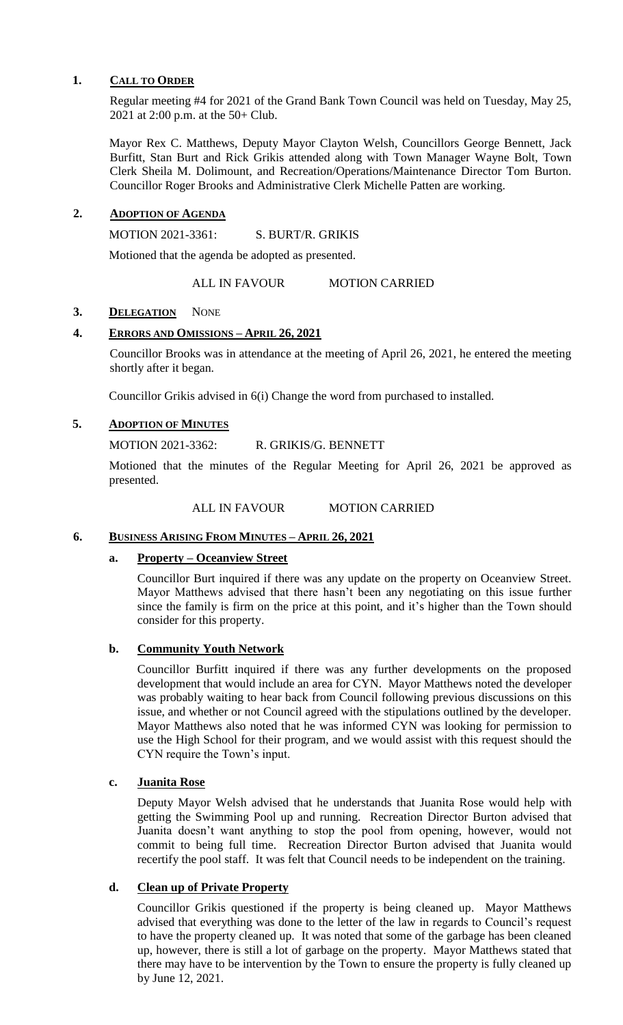### **1. CALL TO ORDER**

Regular meeting #4 for 2021 of the Grand Bank Town Council was held on Tuesday, May 25, 2021 at 2:00 p.m. at the 50+ Club.

Mayor Rex C. Matthews, Deputy Mayor Clayton Welsh, Councillors George Bennett, Jack Burfitt, Stan Burt and Rick Grikis attended along with Town Manager Wayne Bolt, Town Clerk Sheila M. Dolimount, and Recreation/Operations/Maintenance Director Tom Burton. Councillor Roger Brooks and Administrative Clerk Michelle Patten are working.

# **2. ADOPTION OF AGENDA**

MOTION 2021-3361: S. BURT/R. GRIKIS

Motioned that the agenda be adopted as presented.

ALL IN FAVOUR MOTION CARRIED

### 3. **DELEGATION** NONE

# **4. ERRORS AND OMISSIONS – APRIL 26, 2021**

Councillor Brooks was in attendance at the meeting of April 26, 2021, he entered the meeting shortly after it began.

Councillor Grikis advised in 6(i) Change the word from purchased to installed.

### **5. ADOPTION OF MINUTES**

MOTION 2021-3362: R. GRIKIS/G. BENNETT

Motioned that the minutes of the Regular Meeting for April 26, 2021 be approved as presented.

ALL IN FAVOUR MOTION CARRIED

### **6. BUSINESS ARISING FROM MINUTES – APRIL 26, 2021**

### **a. Property – Oceanview Street**

Councillor Burt inquired if there was any update on the property on Oceanview Street. Mayor Matthews advised that there hasn't been any negotiating on this issue further since the family is firm on the price at this point, and it's higher than the Town should consider for this property.

### **b. Community Youth Network**

Councillor Burfitt inquired if there was any further developments on the proposed development that would include an area for CYN. Mayor Matthews noted the developer was probably waiting to hear back from Council following previous discussions on this issue, and whether or not Council agreed with the stipulations outlined by the developer. Mayor Matthews also noted that he was informed CYN was looking for permission to use the High School for their program, and we would assist with this request should the CYN require the Town's input.

### **c. Juanita Rose**

Deputy Mayor Welsh advised that he understands that Juanita Rose would help with getting the Swimming Pool up and running. Recreation Director Burton advised that Juanita doesn't want anything to stop the pool from opening, however, would not commit to being full time. Recreation Director Burton advised that Juanita would recertify the pool staff. It was felt that Council needs to be independent on the training.

# **d. Clean up of Private Property**

Councillor Grikis questioned if the property is being cleaned up. Mayor Matthews advised that everything was done to the letter of the law in regards to Council's request to have the property cleaned up. It was noted that some of the garbage has been cleaned up, however, there is still a lot of garbage on the property. Mayor Matthews stated that there may have to be intervention by the Town to ensure the property is fully cleaned up by June 12, 2021.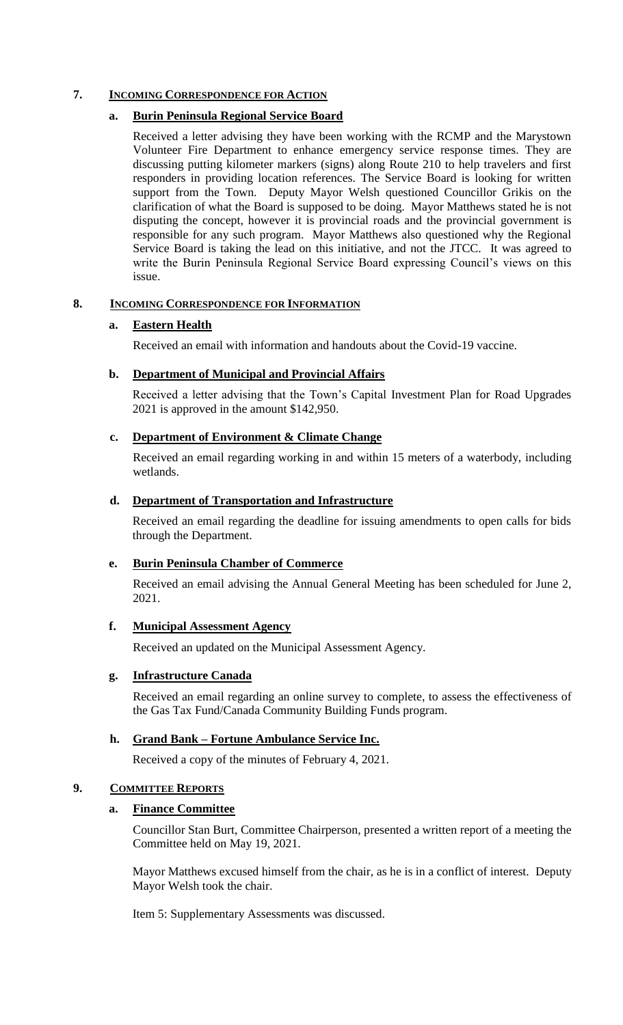# **7. INCOMING CORRESPONDENCE FOR ACTION**

# **a. Burin Peninsula Regional Service Board**

Received a letter advising they have been working with the RCMP and the Marystown Volunteer Fire Department to enhance emergency service response times. They are discussing putting kilometer markers (signs) along Route 210 to help travelers and first responders in providing location references. The Service Board is looking for written support from the Town. Deputy Mayor Welsh questioned Councillor Grikis on the clarification of what the Board is supposed to be doing. Mayor Matthews stated he is not disputing the concept, however it is provincial roads and the provincial government is responsible for any such program. Mayor Matthews also questioned why the Regional Service Board is taking the lead on this initiative, and not the JTCC. It was agreed to write the Burin Peninsula Regional Service Board expressing Council's views on this issue.

# **8. INCOMING CORRESPONDENCE FOR INFORMATION**

# **a. Eastern Health**

Received an email with information and handouts about the Covid-19 vaccine.

# **b. Department of Municipal and Provincial Affairs**

Received a letter advising that the Town's Capital Investment Plan for Road Upgrades 2021 is approved in the amount \$142,950.

# **c. Department of Environment & Climate Change**

Received an email regarding working in and within 15 meters of a waterbody, including wetlands.

# **d. Department of Transportation and Infrastructure**

Received an email regarding the deadline for issuing amendments to open calls for bids through the Department.

# **e. Burin Peninsula Chamber of Commerce**

Received an email advising the Annual General Meeting has been scheduled for June 2, 2021.

# **f. Municipal Assessment Agency**

Received an updated on the Municipal Assessment Agency.

### **g. Infrastructure Canada**

Received an email regarding an online survey to complete, to assess the effectiveness of the Gas Tax Fund/Canada Community Building Funds program.

# **h. Grand Bank – Fortune Ambulance Service Inc.**

Received a copy of the minutes of February 4, 2021.

# **9. COMMITTEE REPORTS**

### **a. Finance Committee**

Councillor Stan Burt, Committee Chairperson, presented a written report of a meeting the Committee held on May 19, 2021.

Mayor Matthews excused himself from the chair, as he is in a conflict of interest. Deputy Mayor Welsh took the chair.

Item 5: Supplementary Assessments was discussed.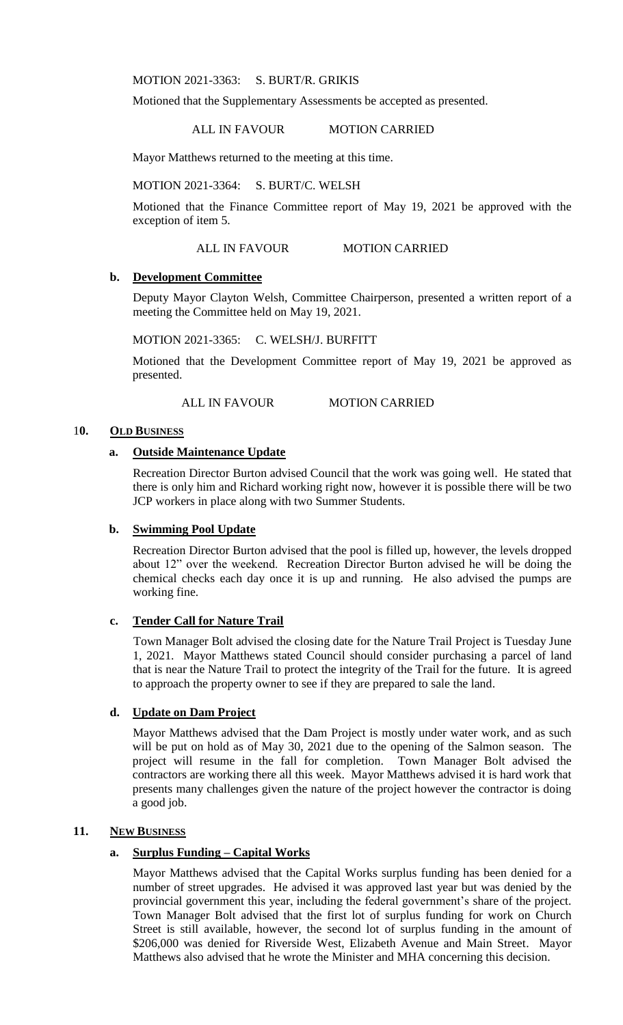MOTION 2021-3363: S. BURT/R. GRIKIS

Motioned that the Supplementary Assessments be accepted as presented.

ALL IN FAVOUR MOTION CARRIED

Mayor Matthews returned to the meeting at this time.

MOTION 2021-3364: S. BURT/C. WELSH

Motioned that the Finance Committee report of May 19, 2021 be approved with the exception of item 5.

#### ALL IN FAVOUR MOTION CARRIED

#### **b. Development Committee**

Deputy Mayor Clayton Welsh, Committee Chairperson, presented a written report of a meeting the Committee held on May 19, 2021.

MOTION 2021-3365: C. WELSH/J. BURFITT

Motioned that the Development Committee report of May 19, 2021 be approved as presented.

ALL IN FAVOUR MOTION CARRIED

### 1**0. OLD BUSINESS**

## **a. Outside Maintenance Update**

Recreation Director Burton advised Council that the work was going well. He stated that there is only him and Richard working right now, however it is possible there will be two JCP workers in place along with two Summer Students.

### **b. Swimming Pool Update**

Recreation Director Burton advised that the pool is filled up, however, the levels dropped about 12" over the weekend. Recreation Director Burton advised he will be doing the chemical checks each day once it is up and running. He also advised the pumps are working fine.

#### **c. Tender Call for Nature Trail**

Town Manager Bolt advised the closing date for the Nature Trail Project is Tuesday June 1, 2021. Mayor Matthews stated Council should consider purchasing a parcel of land that is near the Nature Trail to protect the integrity of the Trail for the future. It is agreed to approach the property owner to see if they are prepared to sale the land.

## **d. Update on Dam Project**

Mayor Matthews advised that the Dam Project is mostly under water work, and as such will be put on hold as of May 30, 2021 due to the opening of the Salmon season. The project will resume in the fall for completion. Town Manager Bolt advised the contractors are working there all this week. Mayor Matthews advised it is hard work that presents many challenges given the nature of the project however the contractor is doing a good job.

### **11. NEW BUSINESS**

## **a. Surplus Funding – Capital Works**

Mayor Matthews advised that the Capital Works surplus funding has been denied for a number of street upgrades. He advised it was approved last year but was denied by the provincial government this year, including the federal government's share of the project. Town Manager Bolt advised that the first lot of surplus funding for work on Church Street is still available, however, the second lot of surplus funding in the amount of \$206,000 was denied for Riverside West, Elizabeth Avenue and Main Street. Mayor Matthews also advised that he wrote the Minister and MHA concerning this decision.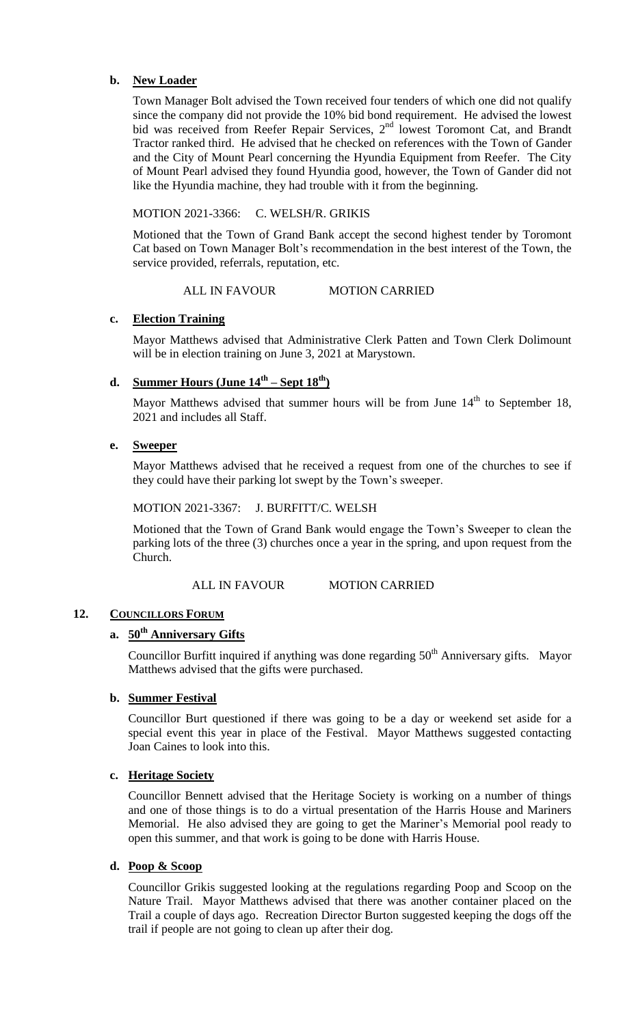### **b. New Loader**

Town Manager Bolt advised the Town received four tenders of which one did not qualify since the company did not provide the 10% bid bond requirement. He advised the lowest bid was received from Reefer Repair Services, 2<sup>nd</sup> lowest Toromont Cat, and Brandt Tractor ranked third. He advised that he checked on references with the Town of Gander and the City of Mount Pearl concerning the Hyundia Equipment from Reefer. The City of Mount Pearl advised they found Hyundia good, however, the Town of Gander did not like the Hyundia machine, they had trouble with it from the beginning.

# MOTION 2021-3366: C. WELSH/R. GRIKIS

Motioned that the Town of Grand Bank accept the second highest tender by Toromont Cat based on Town Manager Bolt's recommendation in the best interest of the Town, the service provided, referrals, reputation, etc.

### ALL IN FAVOUR MOTION CARRIED

# **c. Election Training**

Mayor Matthews advised that Administrative Clerk Patten and Town Clerk Dolimount will be in election training on June 3, 2021 at Marystown.

# **d. Summer Hours (June 14th – Sept 18th)**

Mayor Matthews advised that summer hours will be from June  $14<sup>th</sup>$  to September 18, 2021 and includes all Staff.

# **e. Sweeper**

Mayor Matthews advised that he received a request from one of the churches to see if they could have their parking lot swept by the Town's sweeper.

# MOTION 2021-3367: J. BURFITT/C. WELSH

Motioned that the Town of Grand Bank would engage the Town's Sweeper to clean the parking lots of the three (3) churches once a year in the spring, and upon request from the Church.

## ALL IN FAVOUR MOTION CARRIED

### 12. **COUNCILLORS FORUM**

# **a. 50th Anniversary Gifts**

Councillor Burfitt inquired if anything was done regarding  $50<sup>th</sup>$  Anniversary gifts. Mayor Matthews advised that the gifts were purchased.

### **b. Summer Festival**

Councillor Burt questioned if there was going to be a day or weekend set aside for a special event this year in place of the Festival. Mayor Matthews suggested contacting Joan Caines to look into this.

### **c. Heritage Society**

Councillor Bennett advised that the Heritage Society is working on a number of things and one of those things is to do a virtual presentation of the Harris House and Mariners Memorial. He also advised they are going to get the Mariner's Memorial pool ready to open this summer, and that work is going to be done with Harris House.

### **d. Poop & Scoop**

Councillor Grikis suggested looking at the regulations regarding Poop and Scoop on the Nature Trail. Mayor Matthews advised that there was another container placed on the Trail a couple of days ago. Recreation Director Burton suggested keeping the dogs off the trail if people are not going to clean up after their dog.